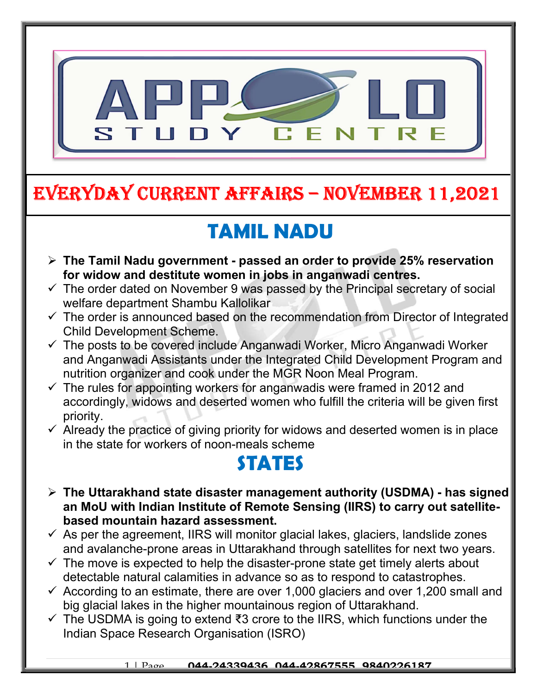

# EVERYDAY CURRENT AFFAIRS – NOVEMBER 11,2021

-

# TAMIL NADU

- $\triangleright$  The Tamil Nadu government passed an order to provide 25% reservation for widow and destitute women in jobs in anganwadi centres.
- $\checkmark$  The order dated on November 9 was passed by the Principal secretary of social welfare department Shambu Kallolikar
- $\checkmark$  The order is announced based on the recommendation from Director of Integrated Child Development Scheme.
- The posts to be covered include Anganwadi Worker, Micro Anganwadi Worker and Anganwadi Assistants under the Integrated Child Development Program and nutrition organizer and cook under the MGR Noon Meal Program.
- $\checkmark$  The rules for appointing workers for anganwadis were framed in 2012 and accordingly, widows and deserted women who fulfill the criteria will be given first priority.
- $\checkmark$  Already the practice of giving priority for widows and deserted women is in place in the state for workers of noon-meals scheme

## STATES

- The Uttarakhand state disaster management authority (USDMA) has signed an MoU with Indian Institute of Remote Sensing (IIRS) to carry out satellitebased mountain hazard assessment.
- $\checkmark$  As per the agreement, IIRS will monitor glacial lakes, glaciers, landslide zones and avalanche-prone areas in Uttarakhand through satellites for next two years.
- $\checkmark$  The move is expected to help the disaster-prone state get timely alerts about detectable natural calamities in advance so as to respond to catastrophes.
- $\checkmark$  According to an estimate, there are over 1,000 glaciers and over 1,200 small and big glacial lakes in the higher mountainous region of Uttarakhand.
- $\checkmark$  The USDMA is going to extend ₹3 crore to the IIRS, which functions under the Indian Space Research Organisation (ISRO)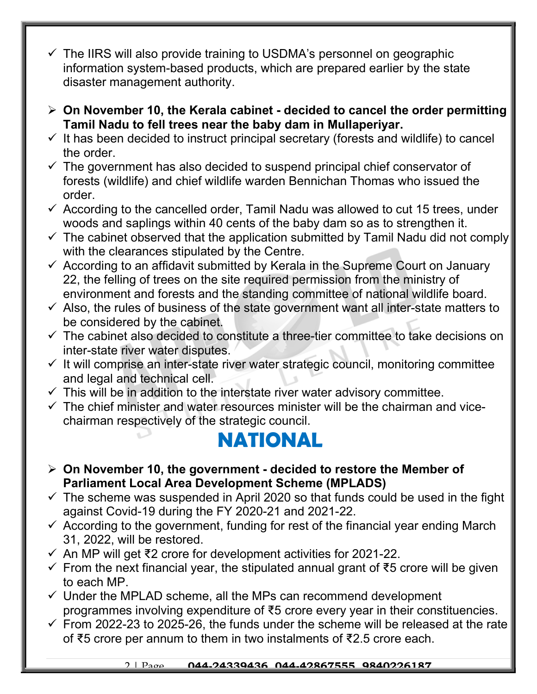- $\checkmark$  The IIRS will also provide training to USDMA's personnel on geographic information system-based products, which are prepared earlier by the state disaster management authority.
- $\geq$  On November 10, the Kerala cabinet decided to cancel the order permitting Tamil Nadu to fell trees near the baby dam in Mullaperiyar.
- $\checkmark$  It has been decided to instruct principal secretary (forests and wildlife) to cancel the order.
- $\checkmark$  The government has also decided to suspend principal chief conservator of forests (wildlife) and chief wildlife warden Bennichan Thomas who issued the order.
- $\checkmark$  According to the cancelled order, Tamil Nadu was allowed to cut 15 trees, under woods and saplings within 40 cents of the baby dam so as to strengthen it.
- $\checkmark$  The cabinet observed that the application submitted by Tamil Nadu did not comply with the clearances stipulated by the Centre.
- $\checkmark$  According to an affidavit submitted by Kerala in the Supreme Court on January 22, the felling of trees on the site required permission from the ministry of environment and forests and the standing committee of national wildlife board.
- $\checkmark$  Also, the rules of business of the state government want all inter-state matters to be considered by the cabinet.
- $\checkmark$  The cabinet also decided to constitute a three-tier committee to take decisions on inter-state river water disputes.
- $\checkmark$  It will comprise an inter-state river water strategic council, monitoring committee and legal and technical cell.
- $\checkmark$  This will be in addition to the interstate river water advisory committee.
- $\checkmark$  The chief minister and water resources minister will be the chairman and vicechairman respectively of the strategic council.

### NATIONAL

- $\geq$  On November 10, the government decided to restore the Member of Parliament Local Area Development Scheme (MPLADS)
- $\checkmark$  The scheme was suspended in April 2020 so that funds could be used in the fight against Covid-19 during the FY 2020-21 and 2021-22.
- $\checkmark$  According to the government, funding for rest of the financial year ending March 31, 2022, will be restored.
- An MP will get ₹2 crore for development activities for 2021-22.
- $\checkmark$  From the next financial year, the stipulated annual grant of ₹5 crore will be given to each MP.
- $\checkmark$  Under the MPLAD scheme, all the MPs can recommend development programmes involving expenditure of ₹5 crore every year in their constituencies.
- $\checkmark$  From 2022-23 to 2025-26, the funds under the scheme will be released at the rate of ₹5 crore per annum to them in two instalments of ₹2.5 crore each.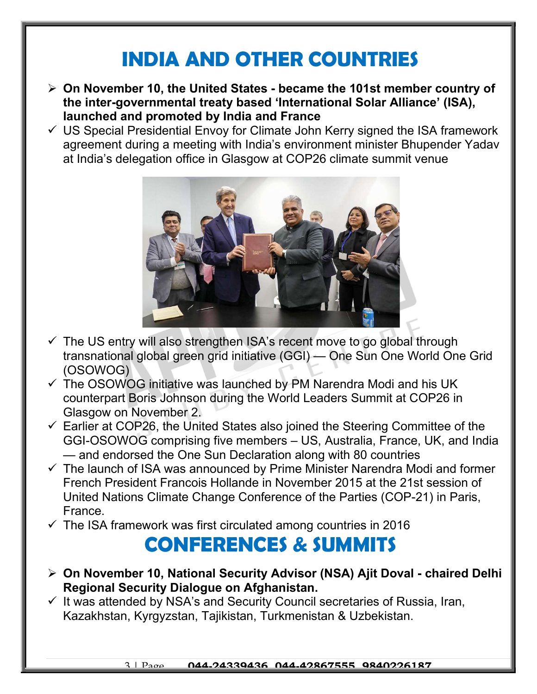### INDIA AND OTHER COUNTRIES

- $\triangleright$  On November 10, the United States became the 101st member country of the inter-governmental treaty based 'International Solar Alliance' (ISA), launched and promoted by India and France
- $\checkmark$  US Special Presidential Envoy for Climate John Kerry signed the ISA framework agreement during a meeting with India's environment minister Bhupender Yadav at India's delegation office in Glasgow at COP26 climate summit venue



- $\checkmark$  The US entry will also strengthen ISA's recent move to go global through transnational global green grid initiative (GGI) — One Sun One World One Grid (OSOWOG)
- $\checkmark$  The OSOWOG initiative was launched by PM Narendra Modi and his UK counterpart Boris Johnson during the World Leaders Summit at COP26 in Glasgow on November 2.
- $\checkmark$  Earlier at COP26, the United States also joined the Steering Committee of the GGI-OSOWOG comprising five members – US, Australia, France, UK, and India — and endorsed the One Sun Declaration along with 80 countries
- $\checkmark$  The launch of ISA was announced by Prime Minister Narendra Modi and former French President Francois Hollande in November 2015 at the 21st session of United Nations Climate Change Conference of the Parties (COP-21) in Paris, France.
- $\checkmark$  The ISA framework was first circulated among countries in 2016

#### CONFERENCES & SUMMITS

- On November 10, National Security Advisor (NSA) Ajit Doval chaired Delhi Regional Security Dialogue on Afghanistan.
- $\checkmark$  It was attended by NSA's and Security Council secretaries of Russia, Iran, Kazakhstan, Kyrgyzstan, Tajikistan, Turkmenistan & Uzbekistan.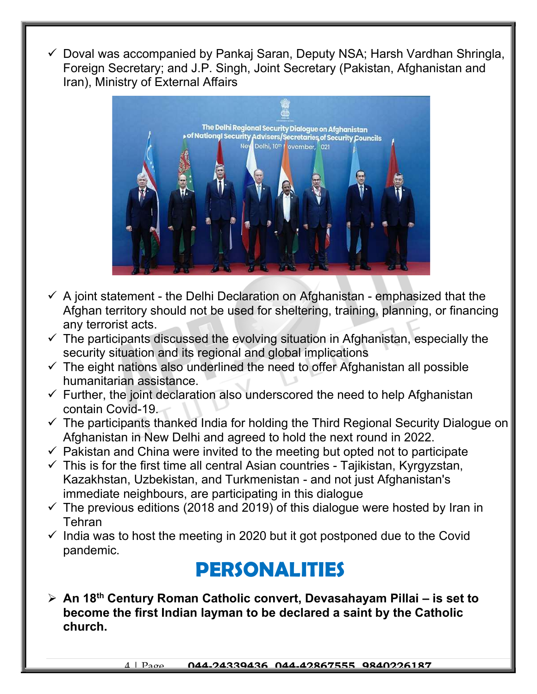Doval was accompanied by Pankaj Saran, Deputy NSA; Harsh Vardhan Shringla, Foreign Secretary; and J.P. Singh, Joint Secretary (Pakistan, Afghanistan and Iran), Ministry of External Affairs



- $\checkmark$  A joint statement the Delhi Declaration on Afghanistan emphasized that the Afghan territory should not be used for sheltering, training, planning, or financing any terrorist acts.
- $\checkmark$  The participants discussed the evolving situation in Afghanistan, especially the security situation and its regional and global implications
- $\checkmark$  The eight nations also underlined the need to offer Afghanistan all possible humanitarian assistance.
- $\checkmark$  Further, the joint declaration also underscored the need to help Afghanistan contain Covid-19.
- $\checkmark$  The participants thanked India for holding the Third Regional Security Dialogue on Afghanistan in New Delhi and agreed to hold the next round in 2022.
- $\checkmark$  Pakistan and China were invited to the meeting but opted not to participate
- $\checkmark$  This is for the first time all central Asian countries Tajikistan, Kyrgyzstan, Kazakhstan, Uzbekistan, and Turkmenistan - and not just Afghanistan's immediate neighbours, are participating in this dialogue
- $\checkmark$  The previous editions (2018 and 2019) of this dialogue were hosted by Iran in **Tehran**
- $\checkmark$  India was to host the meeting in 2020 but it got postponed due to the Covid pandemic.

#### PERSONALITIES

 $\triangleright$  An 18<sup>th</sup> Century Roman Catholic convert, Devasahayam Pillai – is set to become the first Indian layman to be declared a saint by the Catholic church.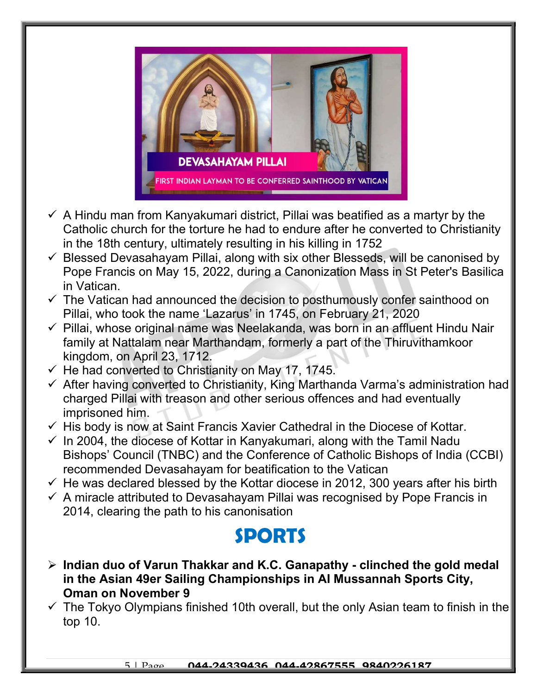

- $\checkmark$  A Hindu man from Kanyakumari district, Pillai was beatified as a martyr by the Catholic church for the torture he had to endure after he converted to Christianity in the 18th century, ultimately resulting in his killing in 1752
- $\checkmark$  Blessed Devasahayam Pillai, along with six other Blesseds, will be canonised by Pope Francis on May 15, 2022, during a Canonization Mass in St Peter's Basilica in Vatican.
- $\checkmark$  The Vatican had announced the decision to posthumously confer sainthood on Pillai, who took the name 'Lazarus' in 1745, on February 21, 2020
- $\checkmark$  Pillai, whose original name was Neelakanda, was born in an affluent Hindu Nair family at Nattalam near Marthandam, formerly a part of the Thiruvithamkoor kingdom, on April 23, 1712.
- $\checkmark$  He had converted to Christianity on May 17, 1745.
- $\checkmark$  After having converted to Christianity, King Marthanda Varma's administration had charged Pillai with treason and other serious offences and had eventually imprisoned him.
- $\checkmark$  His body is now at Saint Francis Xavier Cathedral in the Diocese of Kottar.
- $\checkmark$  In 2004, the diocese of Kottar in Kanyakumari, along with the Tamil Nadu Bishops' Council (TNBC) and the Conference of Catholic Bishops of India (CCBI) recommended Devasahayam for beatification to the Vatican
- $\checkmark$  He was declared blessed by the Kottar diocese in 2012, 300 years after his birth
- $\checkmark$  A miracle attributed to Devasahayam Pillai was recognised by Pope Francis in 2014, clearing the path to his canonisation

### SPORTS

- $\triangleright$  Indian duo of Varun Thakkar and K.C. Ganapathy clinched the gold medal in the Asian 49er Sailing Championships in AI Mussannah Sports City, Oman on November 9
- $\checkmark$  The Tokyo Olympians finished 10th overall, but the only Asian team to finish in the top 10.